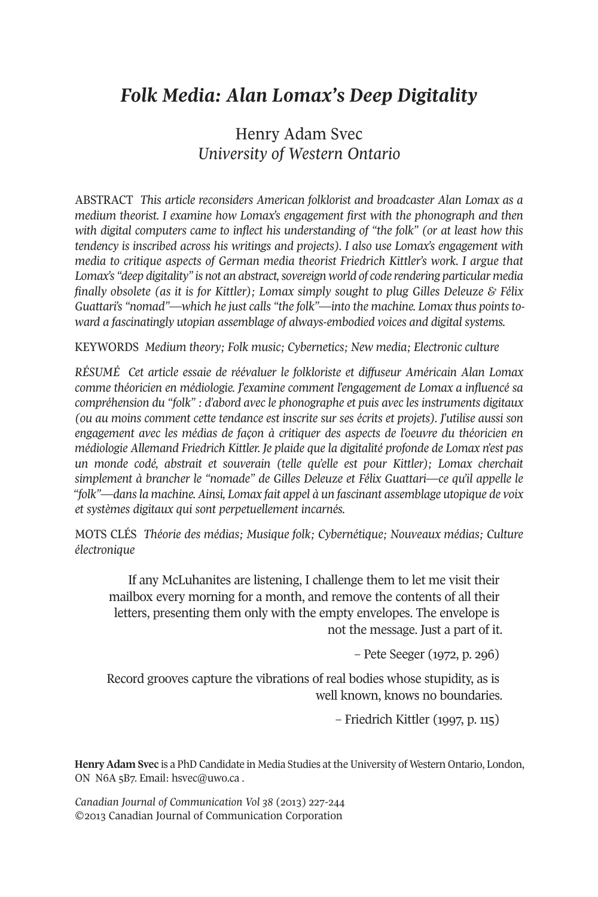# *Folk Media: Alan Lomax's Deep Digitality*

# Henry Adam Svec *University of Western Ontario*

ABSTRACT *This article reconsiders American folklorist and broadcaster Alan Lomax as a medium theorist. I examine how Lomax's engagement first with the phonograph and then with digital computers came to inflect his understanding of "the folk" (or at least how this tendency is inscribed across his writings and projects). I also use Lomax's engagement with media to critique aspects of German media theorist Friedrich Kittler's work. I argue that Lomax's "deep digitality" is not an abstract,sovereign world of code rendering particular media finally obsolete (as it is for Kittler); Lomax simply sought to plug Gilles Deleuze & Félix Guattari's "nomad"—which he just calls "the folk"—into the machine. Lomax thus points toward a fascinatingly utopian assemblage of always-embodied voices and digital systems.*

KEYWORDS *Medium theory; Folk music; Cybernetics; New media; Electronic culture*

*RÉSUMÉ Cet article essaie de réévaluer le folkloriste et diffuseur Américain Alan Lomax comme théoricien en médiologie. J'examine comment l'engagement de Lomax a influencé sa compréhension du "folk" : d'abord avec le phonographe et puis avec les instruments digitaux (ou au moins comment cette tendance est inscrite sur ses écrits et projets). J'utilise aussi son engagement avec les médias de façon à critiquer des aspects de l'oeuvre du théoricien en médiologie Allemand Friedrich Kittler. Je plaide que la digitalité profonde de Lomax n'est pas un monde codé, abstrait et souverain (telle qu'elle est pour Kittler); Lomax cherchait simplement à brancher le "nomade" de Gilles Deleuze et Félix Guattari—ce qu'il appelle le "folk"—dansla machine. Ainsi, Lomax fait appel à un fascinant assemblage utopique de voix et systèmes digitaux qui sont perpetuellement incarnés.*

MOTS CLÉS *Théorie des médias; Musique folk; Cybernétique; Nouveaux médias; Culture électronique*

If any McLuhanites are listening, I challenge them to let me visit their mailbox every morning for a month, and remove the contents of all their letters, presenting them only with the empty envelopes. The envelope is not the message. Just a part of it.

– Pete Seeger (1972, p. 296)

Record grooves capture the vibrations of real bodies whose stupidity, as is well known, knows no boundaries.

– Friedrich Kittler (1997, p. 115)

**HenryAdam Svec** is a PhD Candidate in Media Studies at the University of Western Ontario, London, ON N6A 5B7. Email: [hsvec@uwo.ca](mailto:hsvec@uwo.ca) .

*Canadian Journal of Communication Vol 38* (2013) 227-244 ©2013 Canadian Journal of Communication Corporation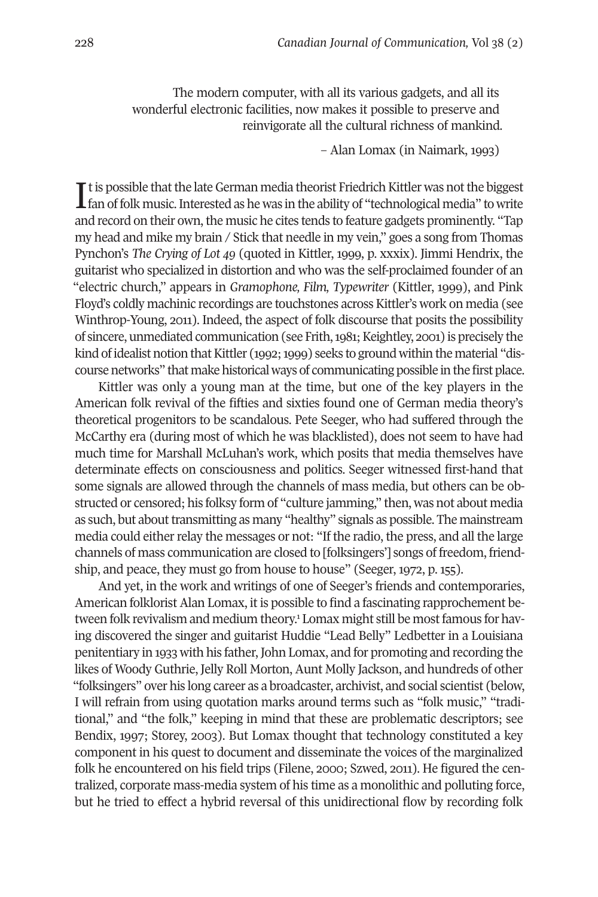The modern computer, with all its various gadgets, and all its wonderful electronic facilities, now makes it possible to preserve and reinvigorate all the cultural richness of mankind.

– Alan Lomax (in Naimark, 1993)

 $\prod$ t is possible that the late German media theorist Friedrich Kittler was not the biggest fan of folk music. Interested as he was in the ability of "technological media" to write **I** fan of folk music. Interested as he was in the ability of "technological media" to write and record on their own, the music he cites tends to feature gadgets prominently. "Tap my head and mike my brain / Stick that needle in my vein," goes a song from Thomas Pynchon's *The Crying of Lot 49* (quoted in Kittler, 1999, p. xxxix). Jimmi Hendrix, the guitarist who specialized in distortion and who was the self-proclaimed founder of an "electric church," appears in *Gramophone, Film, Typewriter* (Kittler, 1999), and Pink Floyd's coldly machinic recordings are touchstones across Kittler's work on media (see Winthrop-Young, 2011). Indeed, the aspect of folk discourse that posits the possibility of sincere, unmediated communication (see Frith, 1981; Keightley, 2001) is precisely the kind of idealist notion that Kittler (1992; 1999) seeks to ground within the material "discourse networks" that make historical ways of communicating possible in the first place.

Kittler was only a young man at the time, but one of the key players in the American folk revival of the fifties and sixties found one of German media theory's theoretical progenitors to be scandalous. Pete Seeger, who had suffered through the McCarthy era (during most of which he was blacklisted), does not seem to have had much time for Marshall McLuhan's work, which posits that media themselves have determinate effects on consciousness and politics. Seeger witnessed first-hand that some signals are allowed through the channels of mass media, but others can be obstructed or censored; his folksy form of "culture jamming," then, was not about media as such, but about transmitting as many "healthy" signals as possible. The mainstream media could either relay the messages or not: "If the radio, the press, and all the large channels of mass communication are closed to [folksingers'] songs of freedom, friendship, and peace, they must go from house to house" (Seeger, 1972, p. 155).

And yet, in the work and writings of one of Seeger's friends and contemporaries, American folklorist Alan Lomax, it is possible to find a fascinating rapprochement between folk revivalism and medium theory.<sup>1</sup> Lomax might still be most famous for having discovered the singer and guitarist Huddie "Lead Belly" Ledbetter in a Louisiana penitentiary in 1933 with his father, John Lomax, and for promoting and recording the likes of Woody Guthrie, Jelly Roll Morton, Aunt Molly Jackson, and hundreds of other "folksingers" over his long career as a broadcaster, archivist, and social scientist (below, I will refrain from using quotation marks around terms such as "folk music," "traditional," and "the folk," keeping in mind that these are problematic descriptors; see Bendix, 1997; Storey, 2003). But Lomax thought that technology constituted a key component in his quest to document and disseminate the voices of the marginalized folk he encountered on his field trips (Filene, 2000; Szwed, 2011). He figured the centralized, corporate mass-media system of his time as a monolithic and polluting force, but he tried to effect a hybrid reversal of this unidirectional flow by recording folk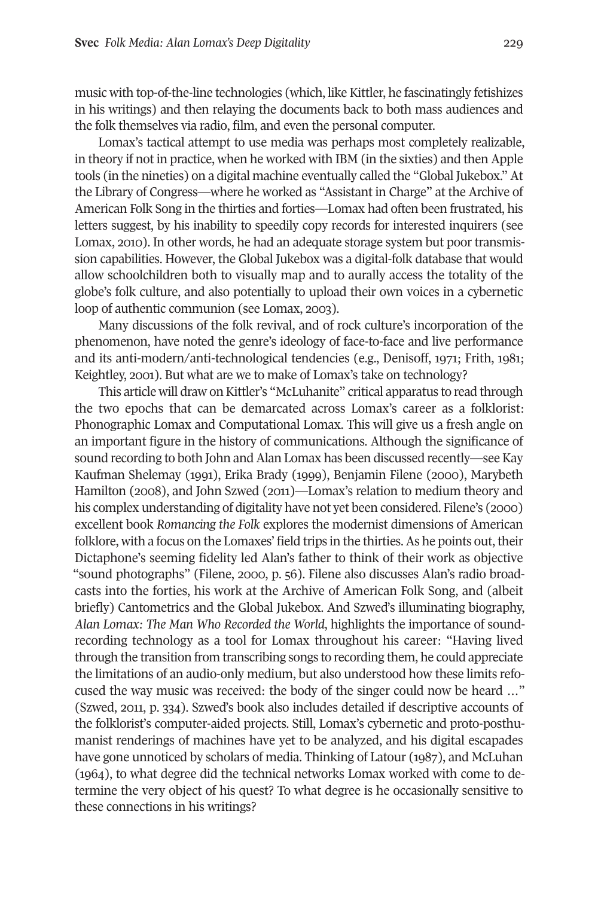music with top-of-the-line technologies (which, like Kittler, he fascinatingly fetishizes in his writings) and then relaying the documents back to both mass audiences and the folk themselves via radio, film, and even the personal computer.

Lomax's tactical attempt to use media was perhaps most completely realizable, in theory if not in practice, when he worked with IBM (in the sixties) and then Apple tools (in the nineties) on a digital machine eventually called the "Global Jukebox." At the Library of Congress—where he worked as "Assistant in Charge" at the Archive of American Folk Song in the thirties and forties—Lomax had often been frustrated, his letters suggest, by his inability to speedily copy records for interested inquirers (see Lomax, 2010). In other words, he had an adequate storage system but poor transmission capabilities. However, the Global Jukebox was a digital-folk database that would allow schoolchildren both to visually map and to aurally access the totality of the globe's folk culture, and also potentially to upload their own voices in a cybernetic loop of authentic communion (see Lomax, 2003).

Many discussions of the folk revival, and of rock culture's incorporation of the phenomenon, have noted the genre's ideology of face-to-face and live performance and its anti-modern/anti-technological tendencies (e.g., Denisoff, 1971; Frith, 1981; Keightley, 2001). But what are we to make of Lomax's take on technology?

This article will draw on Kittler's "McLuhanite" critical apparatus to read through the two epochs that can be demarcated across Lomax's career as a folklorist: Phonographic Lomax and Computational Lomax. This will give us a fresh angle on an important figure in the history of communications. Although the significance of sound recording to both John and Alan Lomax has been discussed recently—see Kay Kaufman Shelemay (1991), Erika Brady (1999), Benjamin Filene (2000), Marybeth Hamilton (2008), and John Szwed (2011)—Lomax's relation to medium theory and his complex understanding of digitality have not yet been considered. Filene's (2000) excellent book *Romancing the Folk* explores the modernist dimensions of American folklore, with a focus on the Lomaxes' field trips in the thirties. As he points out, their Dictaphone's seeming fidelity led Alan's father to think of their work as objective "sound photographs" (Filene, 2000, p. 56). Filene also discusses Alan's radio broadcasts into the forties, his work at the Archive of American Folk Song, and (albeit briefly) Cantometrics and the Global Jukebox. And Szwed's illuminating biography, *Alan Lomax: The Man Who Recorded the World*, highlights the importance of soundrecording technology as a tool for Lomax throughout his career: "Having lived through the transition from transcribing songs to recording them, he could appreciate the limitations of an audio-only medium, but also understood how these limits refocused the way music was received: the body of the singer could now be heard …" (Szwed, 2011, p. 334). Szwed's book also includes detailed if descriptive accounts of the folklorist's computer-aided projects. Still, Lomax's cybernetic and proto-posthumanist renderings of machines have yet to be analyzed, and his digital escapades have gone unnoticed by scholars of media. Thinking of Latour (1987), and McLuhan (1964), to what degree did the technical networks Lomax worked with come to determine the very object of his quest? To what degree is he occasionally sensitive to these connections in his writings?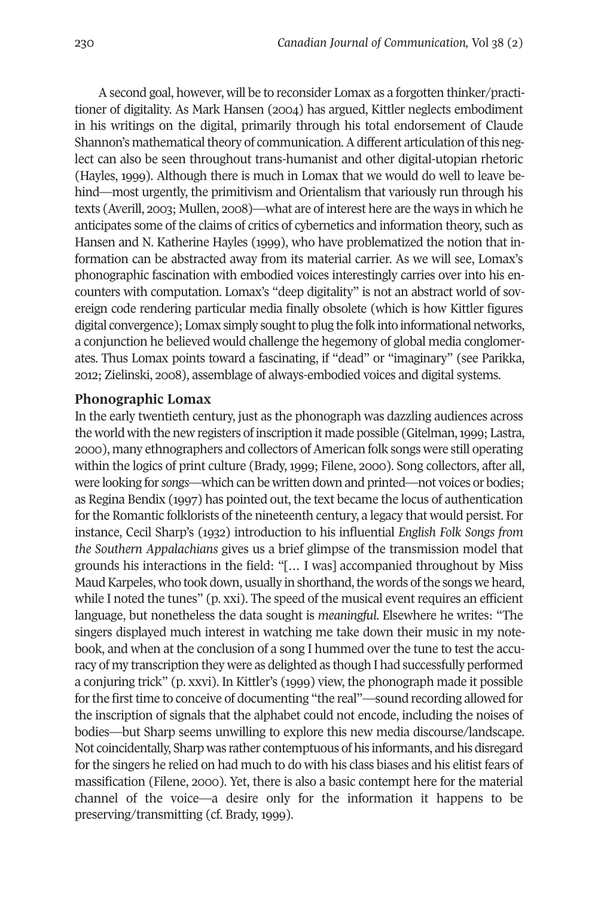A second goal, however, will be to reconsider Lomax as a forgotten thinker/practitioner of digitality. As Mark Hansen (2004) has argued, Kittler neglects embodiment in his writings on the digital, primarily through his total endorsement of Claude Shannon's mathematical theory of communication. A different articulation of this neglect can also be seen throughout trans-humanist and other digital-utopian rhetoric (Hayles, 1999). Although there is much in Lomax that we would do well to leave behind—most urgently, the primitivism and Orientalism that variously run through his texts (Averill, 2003; Mullen, 2008)—what are of interest here are the ways in which he anticipates some of the claims of critics of cybernetics and information theory, such as Hansen and N. Katherine Hayles (1999), who have problematized the notion that information can be abstracted away from its material carrier. As we will see, Lomax's phonographic fascination with embodied voices interestingly carries over into his encounters with computation. Lomax's "deep digitality" is not an abstract world of sovereign code rendering particular media finally obsolete (which is how Kittler figures digital convergence); Lomax simply sought to plug the folk into informational networks, a conjunction he believed would challenge the hegemony of global media conglomerates. Thus Lomax points toward a fascinating, if "dead" or "imaginary" (see Parikka, 2012; Zielinski, 2008), assemblage of always-embodied voices and digital systems.

#### **Phonographic Lomax**

In the early twentieth century, just as the phonograph was dazzling audiences across the world with the new registers of inscription it made possible (Gitelman,1999; Lastra, 2000), many ethnographers and collectors ofAmerican folk songs were still operating within the logics of print culture (Brady, 1999; Filene, 2000). Song collectors, after all, were looking for*songs*—which can be written down and printed—not voices or bodies; as Regina Bendix (1997) has pointed out, the text became the locus of authentication forthe Romantic folklorists of the nineteenth century, a legacy that would persist. For instance, Cecil Sharp's (1932) introduction to his influential *English Folk Songs from the Southern Appalachians* gives us a brief glimpse of the transmission model that grounds his interactions in the field: "[… I was] accompanied throughout by Miss Maud Karpeles, who took down, usually in shorthand, the words of the songs we heard, while I noted the tunes" (p. xxi). The speed of the musical event requires an efficient language, but nonetheless the data sought is *meaningful*. Elsewhere he writes: "The singers displayed much interest in watching me take down their music in my notebook, and when at the conclusion of a song I hummed over the tune to test the accuracy of my transcription they were as delighted as though I had successfully performed a conjuring trick" (p. xxvi). In Kittler's (1999) view, the phonograph made it possible forthe firsttime to conceive of documenting "the real"—sound recording allowed for the inscription of signals that the alphabet could not encode, including the noises of bodies—but Sharp seems unwilling to explore this new media discourse/landscape. Not coincidentally, Sharp was rather contemptuous of his informants, and his disregard forthe singers he relied on had much to do with his class biases and his elitist fears of massification (Filene, 2000). Yet, there is also a basic contempt here for the material channel of the voice—a desire only for the information it happens to be preserving/transmitting (cf. Brady, 1999).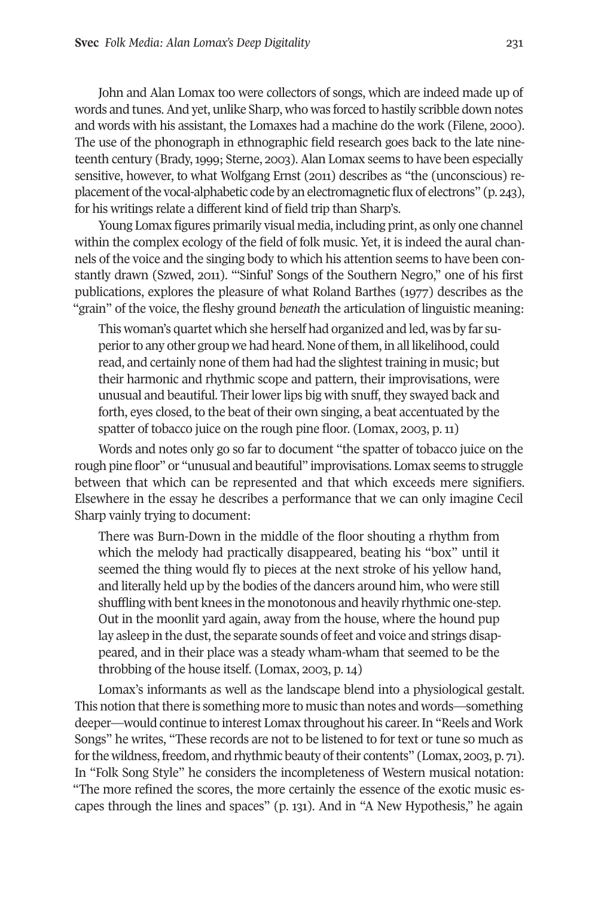John and Alan Lomax too were collectors of songs, which are indeed made up of words and tunes. And yet, unlike Sharp, who was forced to hastily scribble down notes and words with his assistant, the Lomaxes had a machine do the work (Filene, 2000). The use of the phonograph in ethnographic field research goes back to the late nineteenth century (Brady,1999; Sterne, 2003). Alan Lomax seems to have been especially sensitive, however, to what Wolfgang Ernst (2011) describes as "the (unconscious) replacement of the vocal-alphabetic code by an electromagnetic flux of electrons" (p. 243), for his writings relate a different kind of field trip than Sharp's.

Young Lomax figures primarily visual media, including print, as only one channel within the complex ecology of the field of folk music. Yet, it is indeed the aural channels of the voice and the singing body to which his attention seems to have been constantly drawn (Szwed, 2011). "'Sinful' Songs of the Southern Negro," one of his first publications, explores the pleasure of what Roland Barthes (1977) describes as the "grain" of the voice, the fleshy ground *beneath* the articulation of linguistic meaning:

This woman's quartet which she herself had organized and led, was by far superior to any other group we had heard. None of them, in all likelihood, could read, and certainly none of them had had the slightest training in music; but their harmonic and rhythmic scope and pattern, their improvisations, were unusual and beautiful. Their lower lips big with snuff, they swayed back and forth, eyes closed, to the beat of their own singing, a beat accentuated by the spatter of tobacco juice on the rough pine floor. (Lomax, 2003, p. 11)

Words and notes only go so far to document "the spatter of tobacco juice on the rough pine floor" or "unusual and beautiful" improvisations. Lomax seems to struggle between that which can be represented and that which exceeds mere signifiers. Elsewhere in the essay he describes a performance that we can only imagine Cecil Sharp vainly trying to document:

There was Burn-Down in the middle of the floor shouting a rhythm from which the melody had practically disappeared, beating his "box" until it seemed the thing would fly to pieces at the next stroke of his yellow hand, and literally held up by the bodies of the dancers around him, who were still shuffling with bent knees in the monotonous and heavily rhythmic one-step. Out in the moonlit yard again, away from the house, where the hound pup lay asleep in the dust, the separate sounds of feet and voice and strings disappeared, and in their place was a steady wham-wham that seemed to be the throbbing of the house itself. (Lomax, 2003, p. 14)

Lomax's informants as well as the landscape blend into a physiological gestalt. This notion that there is something more to music than notes and words—something deeper—would continue to interest Lomax throughout his career.In "Reels and Work Songs" he writes, "These records are not to be listened to for text or tune so much as forthe wildness, freedom, and rhythmic beauty oftheir contents" (Lomax, 2003, p. 71). In "Folk Song Style" he considers the incompleteness of Western musical notation: "The more refined the scores, the more certainly the essence of the exotic music escapes through the lines and spaces" (p. 131). And in "A New Hypothesis," he again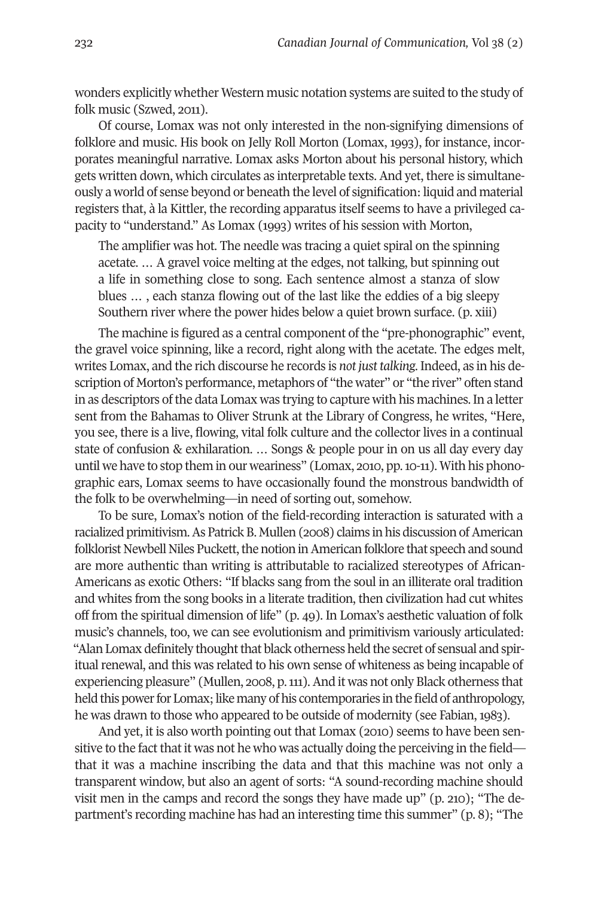wonders explicitly whether Western music notation systems are suited to the study of folk music (Szwed, 2011).

Of course, Lomax was not only interested in the non-signifying dimensions of folklore and music. His book on Jelly Roll Morton (Lomax, 1993), for instance, incorporates meaningful narrative. Lomax asks Morton about his personal history, which gets written down, which circulates as interpretable texts. And yet, there is simultaneously a world of sense beyond or beneath the level of signification: liquid and material registers that, à la Kittler, the recording apparatus itself seems to have a privileged capacity to "understand." As Lomax (1993) writes of his session with Morton,

The amplifier was hot. The needle was tracing a quiet spiral on the spinning acetate. … A gravel voice melting at the edges, not talking, but spinning out a life in something close to song. Each sentence almost a stanza of slow blues … , each stanza flowing out of the last like the eddies of a big sleepy Southern river where the power hides below a quiet brown surface. (p. xiii)

The machine is figured as a central component of the "pre-phonographic" event, the gravel voice spinning, like a record, right along with the acetate. The edges melt, writes Lomax, and the rich discourse he records is *not just talking*. Indeed, as in his description of Morton's performance, metaphors of "the water" or "the river" often stand in as descriptors of the data Lomax was trying to capture with his machines. In a letter sent from the Bahamas to Oliver Strunk at the Library of Congress, he writes, "Here, you see, there is a live, flowing, vital folk culture and the collector lives in a continual state of confusion & exhilaration. … Songs & people pour in on us all day every day until we have to stop them in our weariness" (Lomax, 2010, pp.10-11). With his phonographic ears, Lomax seems to have occasionally found the monstrous bandwidth of the folk to be overwhelming—in need of sorting out, somehow.

To be sure, Lomax's notion of the field-recording interaction is saturated with a racialized primitivism. As Patrick B. Mullen (2008) claims in his discussion of American folklorist Newbell Niles Puckett, the notion in American folklore that speech and sound are more authentic than writing is attributable to racialized stereotypes of African-Americans as exotic Others: "If blacks sang from the soul in an illiterate oral tradition and whites from the song books in a literate tradition, then civilization had cut whites off from the spiritual dimension of life" (p. 49). In Lomax's aesthetic valuation of folk music's channels, too, we can see evolutionism and primitivism variously articulated: "Alan Lomax definitely thought that black otherness held the secret of sensual and spiritual renewal, and this was related to his own sense of whiteness as being incapable of experiencing pleasure" (Mullen, 2008, p.111).And it was not only Black otherness that held this power for Lomax; like many of his contemporaries in the field of anthropology, he was drawn to those who appeared to be outside of modernity (see Fabian, 1983).

And yet, it is also worth pointing out that Lomax (2010) seems to have been sensitive to the fact that it was not he who was actually doing the perceiving in the field that it was a machine inscribing the data and that this machine was not only a transparent window, but also an agent of sorts: "A sound-recording machine should visit men in the camps and record the songs they have made up" (p. 210); "The department's recording machine has had an interesting time this summer" (p. 8); "The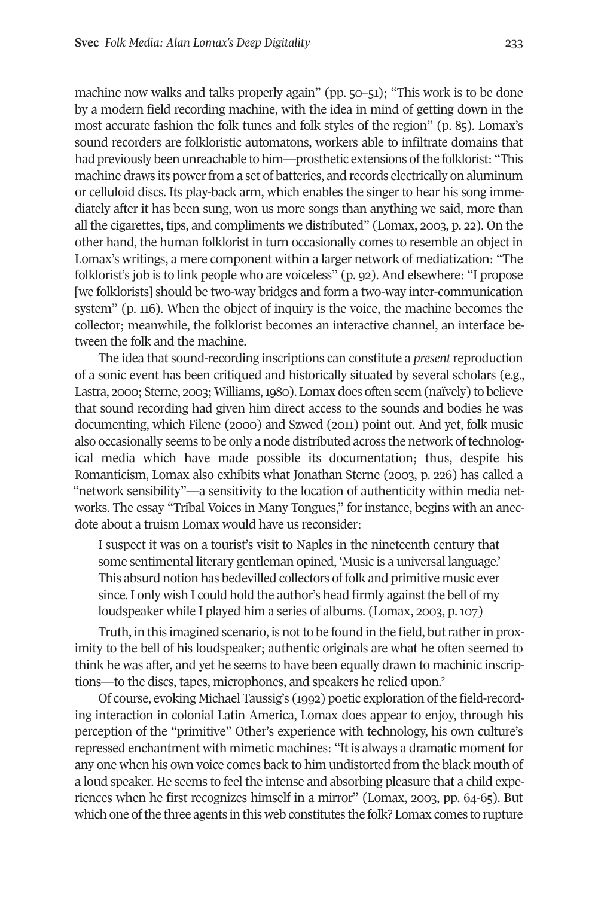machine now walks and talks properly again" (pp. 50–51); "This work is to be done by a modern field recording machine, with the idea in mind of getting down in the most accurate fashion the folk tunes and folk styles of the region" (p. 85). Lomax's sound recorders are folkloristic automatons, workers able to infiltrate domains that had previously been unreachable to him—prosthetic extensions of the folklorist: "This machine draws its power from a set of batteries, and records electrically on aluminum or celluloid discs. Its play-back arm, which enables the singer to hear his song immediately after it has been sung, won us more songs than anything we said, more than all the cigarettes, tips, and compliments we distributed" (Lomax, 2003, p. 22). On the other hand, the human folklorist in turn occasionally comes to resemble an object in Lomax's writings, a mere component within a larger network of mediatization: "The folklorist's job is to link people who are voiceless" (p. 92). And elsewhere: "I propose [we folklorists] should be two-way bridges and form a two-way inter-communication system" (p. 116). When the object of inquiry is the voice, the machine becomes the collector; meanwhile, the folklorist becomes an interactive channel, an interface between the folk and the machine.

The idea that sound-recording inscriptions can constitute a *present* reproduction of a sonic event has been critiqued and historically situated by several scholars (e.g., Lastra, 2000; Sterne, 2003; Williams,1980). Lomax does often seem (naïvely) to believe that sound recording had given him direct access to the sounds and bodies he was documenting, which Filene (2000) and Szwed (2011) point out. And yet, folk music also occasionally seems to be only a node distributed across the network of technological media which have made possible its documentation; thus, despite his Romanticism, Lomax also exhibits what Jonathan Sterne (2003, p. 226) has called a "network sensibility"—a sensitivity to the location of authenticity within media networks. The essay "Tribal Voices in Many Tongues," for instance, begins with an anecdote about a truism Lomax would have us reconsider:

I suspect it was on a tourist's visit to Naples in the nineteenth century that some sentimental literary gentleman opined, 'Music is a universal language.' This absurd notion has bedevilled collectors of folk and primitive music ever since. I only wish I could hold the author's head firmly against the bell of my loudspeaker while I played him a series of albums. (Lomax, 2003, p. 107)

Truth, in this imagined scenario, is not to be found in the field, but rather in proximity to the bell of his loudspeaker; authentic originals are what he often seemed to think he was after, and yet he seems to have been equally drawn to machinic inscriptions—to the discs, tapes, microphones, and speakers he relied upon. 2

Of course, evoking Michael Taussig's (1992) poetic exploration ofthe field-recording interaction in colonial Latin America, Lomax does appear to enjoy, through his perception of the "primitive" Other's experience with technology, his own culture's repressed enchantment with mimetic machines: "It is always a dramatic moment for any one when his own voice comes back to him undistorted from the black mouth of a loud speaker. He seems to feel the intense and absorbing pleasure that a child experiences when he first recognizes himself in a mirror" (Lomax, 2003, pp. 64-65). But which one of the three agents in this web constitutes the folk? Lomax comes to rupture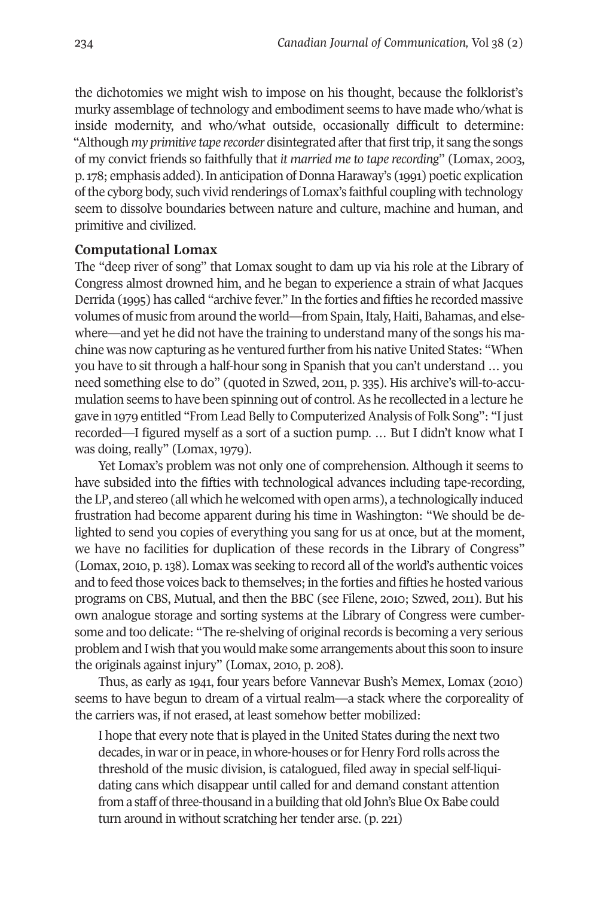the dichotomies we might wish to impose on his thought, because the folklorist's murky assemblage of technology and embodiment seems to have made who/what is inside modernity, and who/what outside, occasionally difficult to determine: "Although *my primitive tape recorder* disintegrated afterthat firsttrip, it sang the songs of my convict friends so faithfully that *it married me to tape recording*" (Lomax, 2003, p. 178; emphasis added). In anticipation of Donna Haraway's (1991) poetic explication ofthe cyborg body, such vivid renderings of Lomax's faithful coupling with technology seem to dissolve boundaries between nature and culture, machine and human, and primitive and civilized.

#### **Computational Lomax**

The "deep river of song" that Lomax sought to dam up via his role at the Library of Congress almost drowned him, and he began to experience a strain of what Jacques Derrida (1995) has called "archive fever." In the forties and fifties he recorded massive volumes of music from around the world—from Spain, Italy, Haiti, Bahamas, and elsewhere—and yet he did not have the training to understand many of the songs his machine was now capturing as he ventured further from his native United States: "When you have to sit through a half-hour song in Spanish that you can't understand … you need something else to do" (quoted in Szwed, 2011, p. 335). His archive's will-to-accumulation seems to have been spinning out of control.As he recollected in a lecture he gave in 1979 entitled "From Lead Belly to ComputerizedAnalysis of Folk Song": "Ijust recorded—I figured myself as a sort of a suction pump. … But I didn't know what I was doing, really" (Lomax, 1979).

Yet Lomax's problem was not only one of comprehension. Although it seems to have subsided into the fifties with technological advances including tape-recording, the LP, and stereo (all which he welcomed with open arms), a technologically induced frustration had become apparent during his time in Washington: "We should be delighted to send you copies of everything you sang for us at once, but at the moment, we have no facilities for duplication of these records in the Library of Congress" (Lomax, 2010, p.138). Lomax was seeking to record all of the world's authentic voices and to feed those voices back to themselves; in the forties and fifties he hosted various programs on CBS, Mutual, and then the BBC (see Filene, 2010; Szwed, 2011). But his own analogue storage and sorting systems at the Library of Congress were cumbersome and too delicate: "The re-shelving of originalrecords is becoming a very serious problem and I wish that you would make some arrangements aboutthis soon to insure the originals against injury" (Lomax, 2010, p. 208).

Thus, as early as 1941, four years before Vannevar Bush's Memex, Lomax (2010) seems to have begun to dream of a virtual realm—a stack where the corporeality of the carriers was, if not erased, at least somehow better mobilized:

I hope that every note that is played in the United States during the next two decades, in war or in peace, in whore-houses or for Henry Ford rolls across the threshold of the music division, is catalogued, filed away in special self-liquidating cans which disappear until called for and demand constant attention from a staff of three-thousand in a building that old John's Blue Ox Babe could turn around in without scratching her tender arse. (p. 221)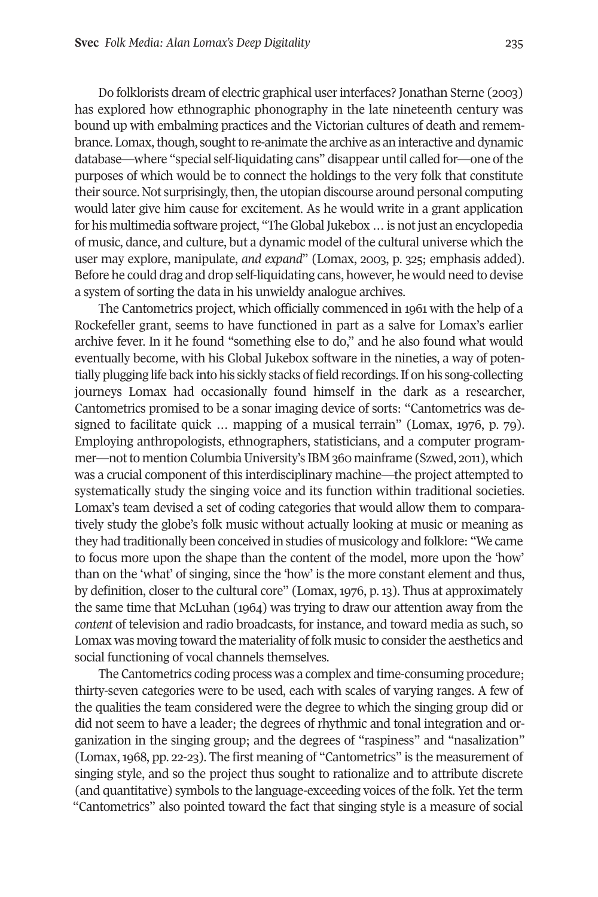Do folklorists dream of electric graphical userinterfaces? Jonathan Sterne (2003) has explored how ethnographic phonography in the late nineteenth century was bound up with embalming practices and the Victorian cultures of death and remembrance. Lomax, though, sought to re-animate the archive as an interactive and dynamic database—where "special self-liquidating cans" disappear until called for—one ofthe purposes of which would be to connect the holdings to the very folk that constitute their source. Not surprisingly, then, the utopian discourse around personal computing would later give him cause for excitement. As he would write in a grant application for his multimedia software project, "The Global Jukebox ... is not just an encyclopedia of music, dance, and culture, but a dynamic model of the cultural universe which the user may explore, manipulate, *and expand*" (Lomax, 2003, p. 325; emphasis added). Before he could drag and drop self-liquidating cans, however, he would need to devise a system of sorting the data in his unwieldy analogue archives.

The Cantometrics project, which officially commenced in 1961 with the help of a Rockefeller grant, seems to have functioned in part as a salve for Lomax's earlier archive fever. In it he found "something else to do," and he also found what would eventually become, with his Global Jukebox software in the nineties, a way of potentially plugging life back into his sickly stacks of field recordings. If on his song-collecting journeys Lomax had occasionally found himself in the dark as a researcher, Cantometrics promised to be a sonar imaging device of sorts: "Cantometrics was designed to facilitate quick … mapping of a musical terrain" (Lomax, 1976, p. 79). Employing anthropologists, ethnographers, statisticians, and a computer programmer—not to mention Columbia University's IBM 360 mainframe (Szwed, 2011), which was a crucial component of this interdisciplinary machine—the project attempted to systematically study the singing voice and its function within traditional societies. Lomax's team devised a set of coding categories that would allow them to comparatively study the globe's folk music without actually looking at music or meaning as they had traditionally been conceived in studies of musicology and folklore: "We came to focus more upon the shape than the content of the model, more upon the 'how' than on the 'what' of singing, since the 'how' is the more constant element and thus, by definition, closer to the cultural core" (Lomax, 1976, p. 13). Thus at approximately the same time that McLuhan (1964) was trying to draw our attention away from the *content* of television and radio broadcasts, for instance, and toward media as such, so Lomax was moving toward the materiality of folk music to considerthe aesthetics and social functioning of vocal channels themselves.

The Cantometrics coding process was a complex and time-consuming procedure; thirty-seven categories were to be used, each with scales of varying ranges. A few of the qualities the team considered were the degree to which the singing group did or did not seem to have a leader; the degrees of rhythmic and tonal integration and organization in the singing group; and the degrees of "raspiness" and "nasalization" (Lomax, 1968, pp. 22-23). The first meaning of "Cantometrics" is the measurement of singing style, and so the project thus sought to rationalize and to attribute discrete (and quantitative) symbols to the language-exceeding voices of the folk. Yet the term "Cantometrics" also pointed toward the fact that singing style is a measure of social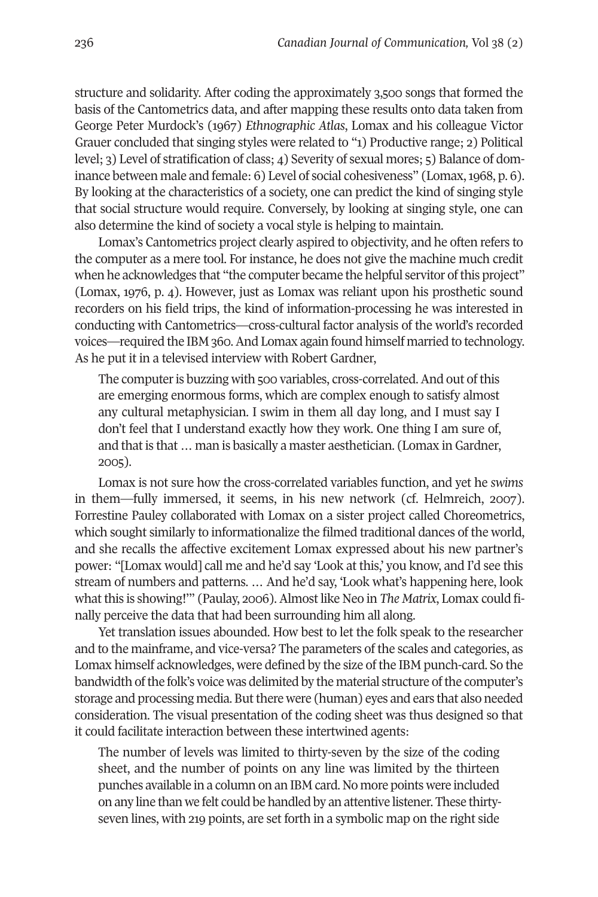structure and solidarity. After coding the approximately 3,500 songs that formed the basis of the Cantometrics data, and after mapping these results onto data taken from George Peter Murdock's (1967) *Ethnographic Atlas*, Lomax and his colleague Victor Grauer concluded that singing styles were related to "1) Productive range; 2) Political level; 3) Level of stratification of class; 4) Severity of sexual mores; 5) Balance of dominance between male and female: 6) Level of social cohesiveness" (Lomax, 1968, p. 6). By looking at the characteristics of a society, one can predict the kind of singing style that social structure would require. Conversely, by looking at singing style, one can also determine the kind of society a vocal style is helping to maintain.

Lomax's Cantometrics project clearly aspired to objectivity, and he often refers to the computer as a mere tool. For instance, he does not give the machine much credit when he acknowledges that "the computer became the helpful servitor ofthis project" (Lomax, 1976, p. 4). However, just as Lomax was reliant upon his prosthetic sound recorders on his field trips, the kind of information-processing he was interested in conducting with Cantometrics—cross-cultural factor analysis of the world's recorded voices—required the IBM 360.And Lomax again found himself married to technology. As he put it in a televised interview with Robert Gardner,

The computer is buzzing with 500 variables, cross-correlated. And out of this are emerging enormous forms, which are complex enough to satisfy almost any cultural metaphysician. I swim in them all day long, and I must say I don't feel that I understand exactly how they work. One thing I am sure of, and that is that … man is basically a master aesthetician. (Lomax in Gardner, 2005).

Lomax is not sure how the cross-correlated variables function, and yet he *swims* in them—fully immersed, it seems, in his new network (cf. Helmreich, 2007). Forrestine Pauley collaborated with Lomax on a sister project called Choreometrics, which sought similarly to informationalize the filmed traditional dances of the world, and she recalls the affective excitement Lomax expressed about his new partner's power: "[Lomax would] call me and he'd say 'Look at this,' you know, and I'd see this stream of numbers and patterns. … And he'd say, 'Look what's happening here, look what this is showing!"" (Paulay, 2006). Almost like Neo in The Matrix, Lomax could finally perceive the data that had been surrounding him all along.

Yet translation issues abounded. How best to let the folk speak to the researcher and to the mainframe, and vice-versa? The parameters of the scales and categories, as Lomax himself acknowledges, were defined by the size of the IBM punch-card. So the bandwidth of the folk's voice was delimited by the material structure of the computer's storage and processing media. Butthere were (human) eyes and ears that also needed consideration. The visual presentation of the coding sheet was thus designed so that it could facilitate interaction between these intertwined agents:

The number of levels was limited to thirty-seven by the size of the coding sheet, and the number of points on any line was limited by the thirteen punches available in a column on an IBM card. No more points were included on any line than we felt could be handled by an attentive listener. These thirtyseven lines, with 219 points, are set forth in a symbolic map on the right side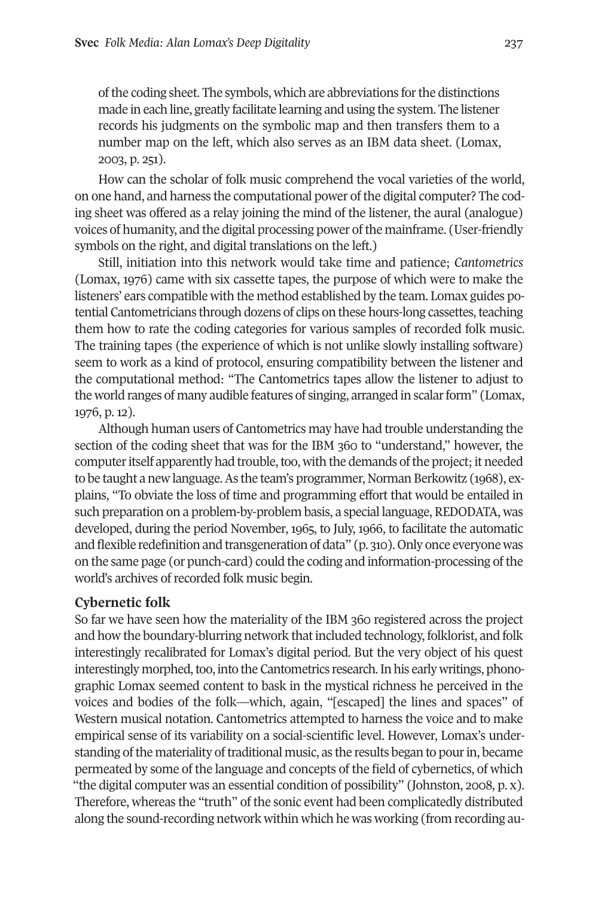of the coding sheet. The symbols, which are abbreviations for the distinctions made in each line, greatly facilitate learning and using the system. The listener records his judgments on the symbolic map and then transfers them to a number map on the left, which also serves as an IBM data sheet. (Lomax, 2003, p. 251).

How can the scholar of folk music comprehend the vocal varieties of the world, on one hand, and harness the computational power of the digital computer? The coding sheet was offered as a relay joining the mind of the listener, the aural (analogue) voices of humanity, and the digital processing power ofthe mainframe. (User-friendly symbols on the right, and digital translations on the left.)

Still, initiation into this network would take time and patience; *Cantometrics* (Lomax, 1976) came with six cassette tapes, the purpose of which were to make the listeners' ears compatible with the method established by the team. Lomax guides potential Cantometricians through dozens of clips on these hours-long cassettes, teaching them how to rate the coding categories for various samples of recorded folk music. The training tapes (the experience of which is not unlike slowly installing software) seem to work as a kind of protocol, ensuring compatibility between the listener and the computational method: "The Cantometrics tapes allow the listener to adjust to the world ranges of many audible features of singing, arranged in scalar form" (Lomax, 1976, p. 12).

Although human users of Cantometrics may have had trouble understanding the section of the coding sheet that was for the IBM 360 to "understand," however, the computer itself apparently had trouble, too, with the demands of the project; it needed to be taught a new language. As the team's programmer, Norman Berkowitz (1968), explains, "To obviate the loss of time and programming effort that would be entailed in such preparation on a problem-by-problem basis, a special language, REDODATA, was developed, during the period November, 1965, to July, 1966, to facilitate the automatic and flexible redefinition and transgeneration of data" (p. 310). Only once everyone was on the same page (or punch-card) could the coding and information-processing ofthe world's archives of recorded folk music begin.

#### **Cybernetic folk**

So far we have seen how the materiality of the IBM 360 registered across the project and how the boundary-blurring network thatincluded technology, folklorist, and folk interestingly recalibrated for Lomax's digital period. But the very object of his quest interestingly morphed, too, into the Cantometrics research. In his early writings, phonographic Lomax seemed content to bask in the mystical richness he perceived in the voices and bodies of the folk—which, again, "[escaped] the lines and spaces" of Western musical notation. Cantometrics attempted to harness the voice and to make empirical sense of its variability on a social-scientific level. However, Lomax's understanding of the materiality of traditional music, as the results began to pour in, became permeated by some of the language and concepts of the field of cybernetics, of which "the digital computer was an essential condition of possibility" (Johnston, 2008, p. x). Therefore, whereas the "truth" of the sonic event had been complicatedly distributed along the sound-recording network within which he was working (from recording au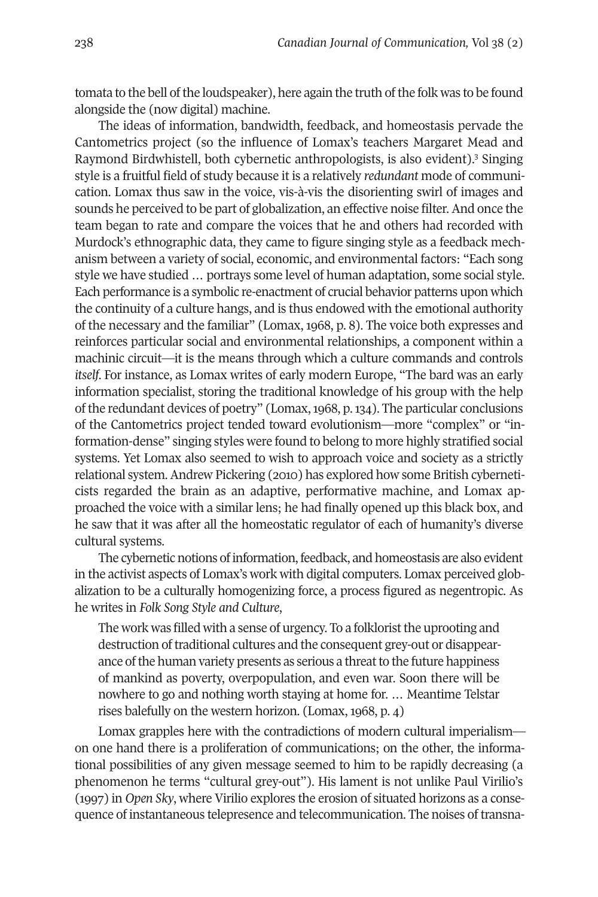tomata to the bell of the loudspeaker), here again the truth of the folk was to be found alongside the (now digital) machine.

The ideas of information, bandwidth, feedback, and homeostasis pervade the Cantometrics project (so the influence of Lomax's teachers Margaret Mead and Raymond Birdwhistell, both cybernetic anthropologists, is also evident). <sup>3</sup> Singing style is a fruitful field of study because it is a relatively *redundant* mode of communication. Lomax thus saw in the voice, vis-à-vis the disorienting swirl of images and sounds he perceived to be part of globalization, an effective noise filter. And once the team began to rate and compare the voices that he and others had recorded with Murdock's ethnographic data, they came to figure singing style as a feedback mechanism between a variety of social, economic, and environmental factors: "Each song style we have studied … portrays some level of human adaptation, some social style. Each performance is a symbolic re-enactment of crucial behavior patterns upon which the continuity of a culture hangs, and is thus endowed with the emotional authority of the necessary and the familiar" (Lomax, 1968, p. 8). The voice both expresses and reinforces particular social and environmental relationships, a component within a machinic circuit—it is the means through which a culture commands and controls *itself*. For instance, as Lomax writes of early modern Europe, "The bard was an early information specialist, storing the traditional knowledge of his group with the help of the redundant devices of poetry" (Lomax,1968, p.134). The particular conclusions of the Cantometrics project tended toward evolutionism—more "complex" or "information-dense" singing styles were found to belong to more highly stratified social systems. Yet Lomax also seemed to wish to approach voice and society as a strictly relational system.Andrew Pickering (2010) has explored how some British cyberneticists regarded the brain as an adaptive, performative machine, and Lomax approached the voice with a similar lens; he had finally opened up this black box, and he saw that it was after all the homeostatic regulator of each of humanity's diverse cultural systems.

The cybernetic notions of information, feedback, and homeostasis are also evident in the activist aspects of Lomax's work with digital computers. Lomax perceived globalization to be a culturally homogenizing force, a process figured as negentropic. As he writes in *Folk Song Style and Culture*,

The work was filled with a sense of urgency. To a folklorist the uprooting and destruction of traditional cultures and the consequent grey-out or disappearance of the human variety presents as serious a threat to the future happiness of mankind as poverty, overpopulation, and even war. Soon there will be nowhere to go and nothing worth staying at home for. … Meantime Telstar rises balefully on the western horizon. (Lomax, 1968, p. 4)

Lomax grapples here with the contradictions of modern cultural imperialism on one hand there is a proliferation of communications; on the other, the informational possibilities of any given message seemed to him to be rapidly decreasing (a phenomenon he terms "cultural grey-out"). His lament is not unlike Paul Virilio's (1997) in *Open Sky*, where Virilio explores the erosion of situated horizons as a consequence of instantaneous telepresence and telecommunication. The noises of transna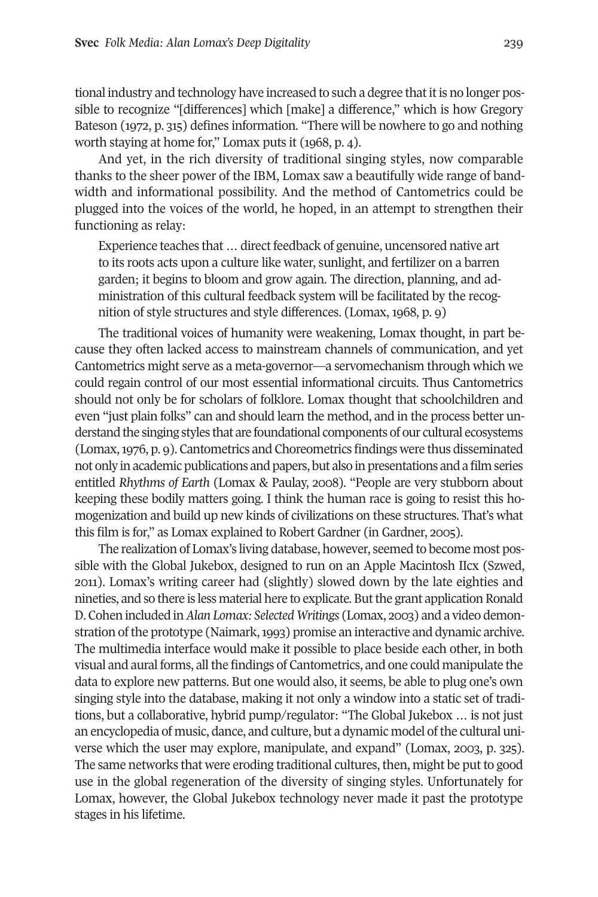tional industry and technology have increased to such a degree that it is no longer possible to recognize "[differences] which [make] a difference," which is how Gregory Bateson (1972, p. 315) defines information. "There will be nowhere to go and nothing worth staying at home for," Lomax puts it (1968, p. 4).

And yet, in the rich diversity of traditional singing styles, now comparable thanks to the sheer power of the IBM, Lomax saw a beautifully wide range of bandwidth and informational possibility. And the method of Cantometrics could be plugged into the voices of the world, he hoped, in an attempt to strengthen their functioning as relay:

Experience teaches that ... direct feedback of genuine, uncensored native art to its roots acts upon a culture like water, sunlight, and fertilizer on a barren garden; it begins to bloom and grow again. The direction, planning, and administration of this cultural feedback system will be facilitated by the recognition of style structures and style differences. (Lomax, 1968, p. 9)

The traditional voices of humanity were weakening, Lomax thought, in part because they often lacked access to mainstream channels of communication, and yet Cantometrics might serve as a meta-governor—a servomechanism through which we could regain control of our most essential informational circuits. Thus Cantometrics should not only be for scholars of folklore. Lomax thought that schoolchildren and even "just plain folks" can and should learn the method, and in the process better understand the singing styles that are foundational components of our cultural ecosystems (Lomax,1976, p. 9). Cantometrics and Choreometrics findings were thus disseminated not only in academic publications and papers, but also in presentations and a film series entitled *Rhythms of Earth* (Lomax & Paulay, 2008). "People are very stubborn about keeping these bodily matters going. I think the human race is going to resist this homogenization and build up new kinds of civilizations on these structures. That's what this film is for," as Lomax explained to Robert Gardner (in Gardner, 2005).

The realization of Lomax's living database, however, seemed to become most possible with the Global Jukebox, designed to run on an Apple Macintosh IIcx (Szwed, 2011). Lomax's writing career had (slightly) slowed down by the late eighties and nineties, and so there is less material here to explicate. But the grant application Ronald D. Cohen included in*Alan Lomax: Selected Writings* (Lomax, 2003) and a video demonstration ofthe prototype (Naimark,1993) promise an interactive and dynamic archive. The multimedia interface would make it possible to place beside each other, in both visual and aural forms, allthe findings of Cantometrics, and one could manipulate the data to explore new patterns. But one would also, it seems, be able to plug one's own singing style into the database, making it not only a window into a static set of traditions, but a collaborative, hybrid pump/regulator: "The Global Jukebox … is not just an encyclopedia of music, dance, and culture, but a dynamic model ofthe cultural universe which the user may explore, manipulate, and expand" (Lomax, 2003, p. 325). The same networks that were eroding traditional cultures, then, might be put to good use in the global regeneration of the diversity of singing styles. Unfortunately for Lomax, however, the Global Jukebox technology never made it past the prototype stages in his lifetime.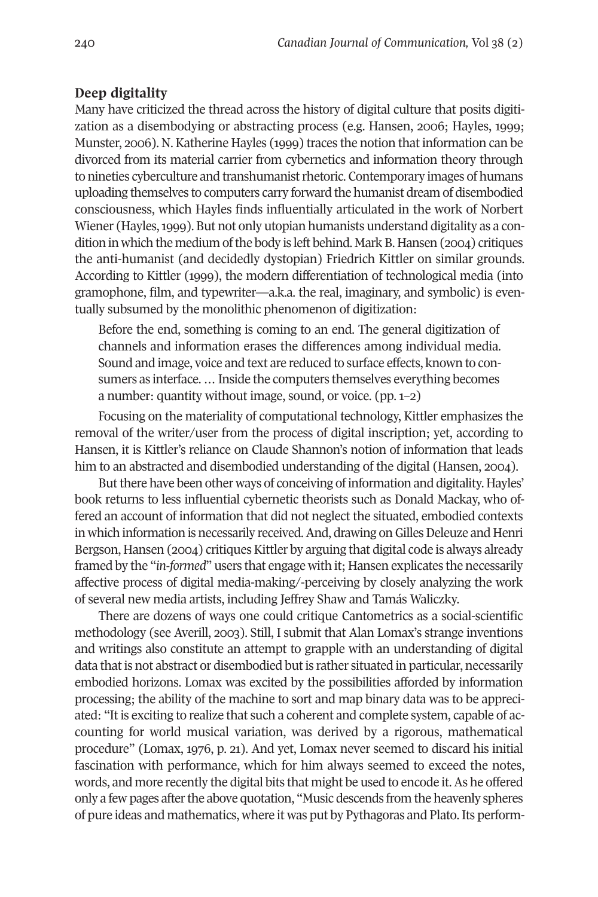#### **Deep digitality**

Many have criticized the thread across the history of digital culture that posits digitization as a disembodying or abstracting process (e.g. Hansen, 2006; Hayles, 1999; Munster, 2006). N. Katherine Hayles (1999) traces the notion that information can be divorced from its material carrier from cybernetics and information theory through to nineties cyberculture and transhumanistrhetoric. Contemporary images of humans uploading themselves to computers carry forward the humanist dream of disembodied consciousness, which Hayles finds influentially articulated in the work of Norbert Wiener (Hayles,1999). But not only utopian humanists understand digitality as a condition in which the medium of the body is left behind. Mark B. Hansen  $(2004)$  critiques the anti-humanist (and decidedly dystopian) Friedrich Kittler on similar grounds. According to Kittler (1999), the modern differentiation of technological media (into gramophone, film, and typewriter—a.k.a. the real, imaginary, and symbolic) is eventually subsumed by the monolithic phenomenon of digitization:

Before the end, something is coming to an end. The general digitization of channels and information erases the differences among individual media. Sound and image, voice and text are reduced to surface effects, known to consumers as interface. … Inside the computers themselves everything becomes a number: quantity without image, sound, or voice. (pp. 1–2)

Focusing on the materiality of computational technology, Kittler emphasizes the removal of the writer/user from the process of digital inscription; yet, according to Hansen, it is Kittler's reliance on Claude Shannon's notion of information that leads him to an abstracted and disembodied understanding of the digital (Hansen, 2004).

But there have been other ways of conceiving of information and digitality. Hayles' book returns to less influential cybernetic theorists such as Donald Mackay, who offered an account of information that did not neglect the situated, embodied contexts in which information is necessarily received. And, drawing on Gilles Deleuze and Henri Bergson, Hansen (2004) critiques Kittler by arguing that digital code is always already framed by the "*in-formed*" users that engage with it; Hansen explicates the necessarily affective process of digital media-making/-perceiving by closely analyzing the work of several new media artists, including Jeffrey Shaw and Tamás Waliczky.

There are dozens of ways one could critique Cantometrics as a social-scientific methodology (see Averill, 2003). Still, I submit that Alan Lomax's strange inventions and writings also constitute an attempt to grapple with an understanding of digital data that is not abstract or disembodied but is rather situated in particular, necessarily embodied horizons. Lomax was excited by the possibilities afforded by information processing; the ability of the machine to sort and map binary data was to be appreciated: "It is exciting to realize that such a coherent and complete system, capable of accounting for world musical variation, was derived by a rigorous, mathematical procedure" (Lomax, 1976, p. 21). And yet, Lomax never seemed to discard his initial fascination with performance, which for him always seemed to exceed the notes, words, and more recently the digital bits that might be used to encode it.As he offered only a few pages afterthe above quotation, "Music descends from the heavenly spheres of pure ideas and mathematics, where it was put by Pythagoras and Plato. Its perform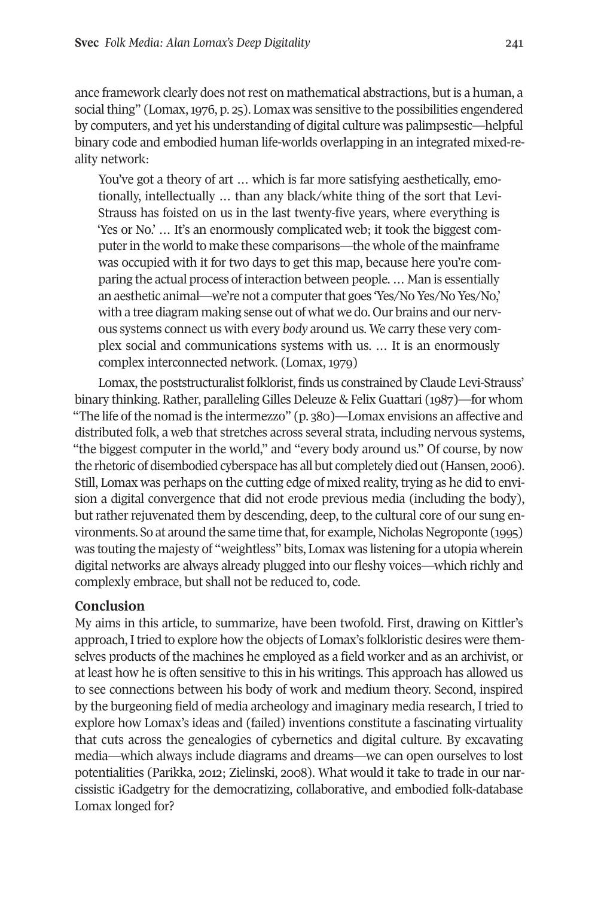ance framework clearly does not rest on mathematical abstractions, but is a human, a social thing" (Lomax, 1976, p. 25). Lomax was sensitive to the possibilities engendered by computers, and yet his understanding of digital culture was palimpsestic—helpful binary code and embodied human life-worlds overlapping in an integrated mixed-reality network:

You've got a theory of art … which is far more satisfying aesthetically, emotionally, intellectually … than any black/white thing of the sort that Levi-Strauss has foisted on us in the last twenty-five years, where everything is 'Yes or No.' … It's an enormously complicated web; it took the biggest computer in the world to make these comparisons—the whole of the mainframe was occupied with it for two days to get this map, because here you're comparing the actual process of interaction between people. … Man is essentially an aesthetic animal—we're not a computer that goes 'Yes/No Yes/No Yes/No,' with a tree diagram making sense out of what we do. Our brains and our nervous systems connect us with every *body* around us. We carry these very complex social and communications systems with us. … It is an enormously complex interconnected network. (Lomax, 1979)

Lomax, the poststructuralist folklorist, finds us constrained by Claude Levi-Strauss' binary thinking. Rather, paralleling Gilles Deleuze & Felix Guattari (1987)—for whom "The life ofthe nomad is the intermezzo" (p. 380)—Lomax envisions an affective and distributed folk, a web that stretches across several strata, including nervous systems, "the biggest computer in the world," and "every body around us." Of course, by now the rhetoric of disembodied cyberspace has all but completely died out (Hansen, 2006). Still, Lomax was perhaps on the cutting edge of mixed reality, trying as he did to envision a digital convergence that did not erode previous media (including the body), but rather rejuvenated them by descending, deep, to the cultural core of our sung environments. So at around the same time that,for example, Nicholas Negroponte (1995) was touting the majesty of "weightless" bits, Lomax was listening for a utopia wherein digital networks are always already plugged into our fleshy voices—which richly and complexly embrace, but shall not be reduced to, code.

#### **Conclusion**

My aims in this article, to summarize, have been twofold. First, drawing on Kittler's approach, I tried to explore how the objects of Lomax's folkloristic desires were themselves products of the machines he employed as a field worker and as an archivist, or at least how he is often sensitive to this in his writings. This approach has allowed us to see connections between his body of work and medium theory. Second, inspired by the burgeoning field of media archeology and imaginary media research, I tried to explore how Lomax's ideas and (failed) inventions constitute a fascinating virtuality that cuts across the genealogies of cybernetics and digital culture. By excavating media—which always include diagrams and dreams—we can open ourselves to lost potentialities (Parikka, 2012; Zielinski, 2008). What would it take to trade in our narcissistic iGadgetry for the democratizing, collaborative, and embodied folk-database Lomax longed for?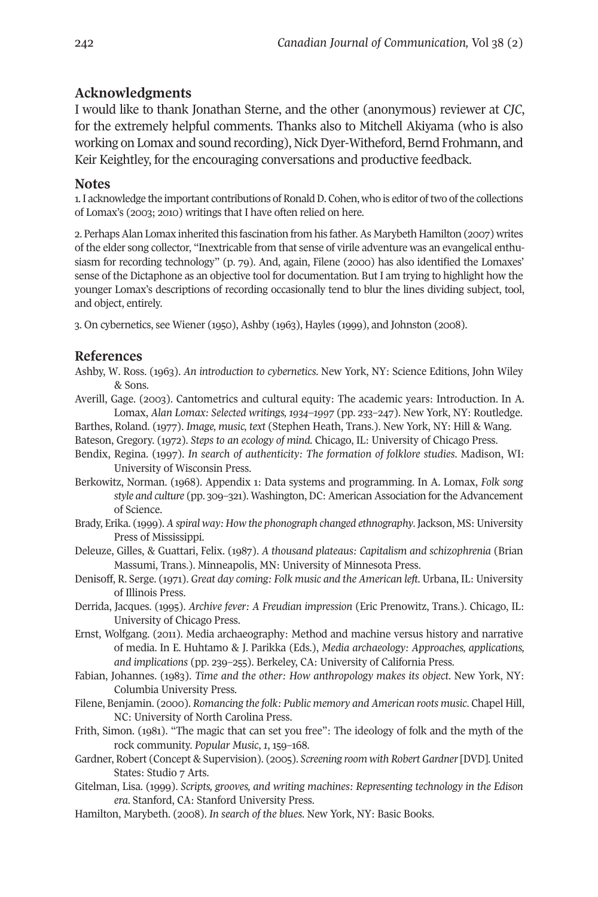# **Acknowledgments**

I would like to thank Jonathan Sterne, and the other (anonymous) reviewer at *CJC*, for the extremely helpful comments. Thanks also to Mitchell Akiyama (who is also working on Lomax and sound recording), Nick Dyer-Witheford, Bernd Frohmann, and Keir Keightley, for the encouraging conversations and productive feedback.

## **Notes**

1. I acknowledge the important contributions of Ronald D. Cohen, who is editor of two of the collections of Lomax's (2003; 2010) writings that I have often relied on here.

2. Perhaps Alan Lomax inherited this fascination from his father. As Marybeth Hamilton (2007) writes of the elder song collector, "Inextricable from that sense of virile adventure was an evangelical enthusiasm for recording technology" (p. 79). And, again, Filene (2000) has also identified the Lomaxes' sense of the Dictaphone as an objective tool for documentation. But I am trying to highlight how the younger Lomax's descriptions of recording occasionally tend to blur the lines dividing subject, tool, and object, entirely.

3. On cybernetics, see Wiener (1950), Ashby (1963), Hayles (1999), and Johnston (2008).

### **References**

- Ashby, W. Ross. (1963). *An introduction to cybernetics*. New York, NY: Science Editions, John Wiley & Sons.
- Averill, Gage. (2003). Cantometrics and cultural equity: The academic years: Introduction. In A. Lomax, *Alan Lomax: Selected writings, 1934–1997* (pp. 233–247). New York, NY: Routledge.
- Barthes, Roland. (1977). *Image, music, text* (Stephen Heath, Trans.). New York, NY: Hill & Wang.
- Bateson, Gregory. (1972). *Steps to an ecology of mind*. Chicago, IL: University of Chicago Press.
- Bendix, Regina. (1997). *In search of authenticity: The formation of folklore studies*. Madison, WI: University of Wisconsin Press.
- Berkowitz, Norman. (1968). Appendix 1: Data systems and programming. In A. Lomax, *Folk song style and culture* (pp. 309–321). Washington, DC: American Association forthe Advancement of Science.
- Brady, Erika. (1999). *A spiral way: How the phonograph changed ethnography*. Jackson, MS: University Press of Mississippi.
- Deleuze, Gilles, & Guattari, Felix. (1987). *A thousand plateaus: Capitalism and schizophrenia* (Brian Massumi, Trans.). Minneapolis, MN: University of Minnesota Press.
- Denisoff, R. Serge. (1971). *Great day coming: Folk music and the American left*. Urbana, IL: University of Illinois Press.
- Derrida, Jacques. (1995). *Archive fever: A Freudian impression* (Eric Prenowitz, Trans.). Chicago, IL: University of Chicago Press.
- Ernst, Wolfgang. (2011). Media archaeography: Method and machine versus history and narrative of media. In E. Huhtamo & J. Parikka (Eds.), *Media archaeology: Approaches, applications, and implications* (pp. 239–255). Berkeley, CA: University of California Press.
- Fabian, Johannes. (1983). *Time and the other: How anthropology makes its object*. New York, NY: Columbia University Press.
- Filene, Benjamin. (2000). *Romancing the folk: Public memory and American roots music*. Chapel Hill, NC: University of North Carolina Press.
- Frith, Simon. (1981). "The magic that can set you free": The ideology of folk and the myth of the rock community. *Popular Music*, *1*, 159–168.
- Gardner, Robert (Concept & Supervision). (2005). *Screening room with Robert Gardner*[DVD]. United States: Studio 7 Arts.
- Gitelman, Lisa. (1999). *Scripts, grooves, and writing machines: Representing technology in the Edison era*. Stanford, CA: Stanford University Press.
- Hamilton, Marybeth. (2008). *In search of the blues*. New York, NY: Basic Books.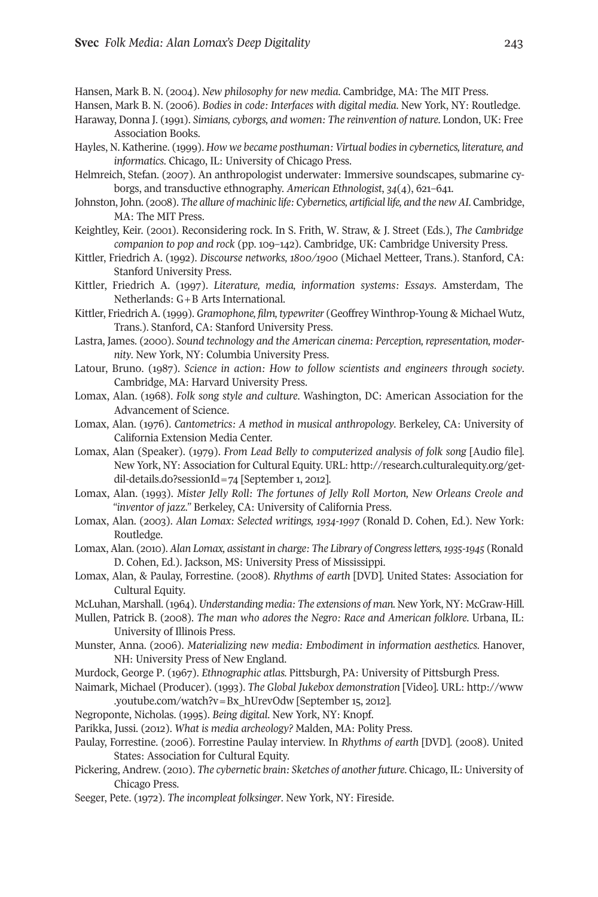Hansen, Mark B. N. (2004). *New philosophy for new media*. Cambridge, MA: The MIT Press.

- Hansen, Mark B. N. (2006). *Bodies in code: Interfaces with digital media*. New York, NY: Routledge.
- Haraway, Donna J. (1991). *Simians, cyborgs, and women: The reinvention of nature*. London, UK: Free Association Books.
- Hayles, N. Katherine. (1999). *How we became posthuman: Virtual bodiesin cybernetics, literature, and informatics*. Chicago, IL: University of Chicago Press.
- Helmreich, Stefan. (2007). An anthropologist underwater: Immersive soundscapes, submarine cyborgs, and transductive ethnography. *American Ethnologist*, *34*(4), 621–641.
- Johnston, John. (2008). *The allure of machinic life: Cybernetics, artificial life, and the new AI*. Cambridge, MA: The MIT Press.
- Keightley, Keir. (2001). Reconsidering rock. In S. Frith, W. Straw, & J. Street (Eds.), *The Cambridge companion to pop and rock* (pp. 109–142). Cambridge, UK: Cambridge University Press.
- Kittler, Friedrich A. (1992). *Discourse networks, 1800/1900* (Michael Metteer, Trans.). Stanford, CA: Stanford University Press.
- Kittler, Friedrich A. (1997). *Literature, media, information systems: Essays*. Amsterdam, The Netherlands: G+B Arts International.
- Kittler, Friedrich A. (1999). *Gramophone, film, typewriter* (Geoffrey Winthrop-Young & Michael Wutz, Trans.). Stanford, CA: Stanford University Press.
- Lastra, James. (2000). *Sound technology and the American cinema: Perception, representation, modernity*. New York, NY: Columbia University Press.
- Latour, Bruno. (1987). *Science in action: How to follow scientists and engineers through society*. Cambridge, MA: Harvard University Press.
- Lomax, Alan. (1968). *Folk song style and culture*. Washington, DC: American Association for the Advancement of Science.
- Lomax, Alan. (1976). *Cantometrics: A method in musical anthropology*. Berkeley, CA: University of California Extension Media Center.
- Lomax, Alan (Speaker). (1979). *From Lead Belly to computerized analysis of folk song* [Audio file]. New York, NY: Association for Cultural Equity. URL: [http://research.culturalequity.org/get](http://research.culturalequity.org/get-dil-details.do?sessionId=74)[dil-details.do?sessionId=74](http://research.culturalequity.org/get-dil-details.do?sessionId=74) [September 1, 2012].
- Lomax, Alan. (1993). *Mister Jelly Roll: The fortunes of Jelly Roll Morton, New Orleans Creole and "inventor of jazz."* Berkeley, CA: University of California Press.
- Lomax, Alan. (2003). *Alan Lomax: Selected writings, 1934-1997* (Ronald D. Cohen, Ed.). New York: Routledge.
- Lomax, Alan. (2010). *Alan Lomax, assistant in charge: The Library of Congressletters,1935-1945* (Ronald D. Cohen, Ed.). Jackson, MS: University Press of Mississippi.
- Lomax, Alan, & Paulay, Forrestine. (2008). *Rhythms of earth* [DVD]. United States: Association for Cultural Equity.
- McLuhan, Marshall. (1964). *Understanding media: The extensions of man.* New York, NY: McGraw-Hill.
- Mullen, Patrick B. (2008). *The man who adores the Negro: Race and American folklore*. Urbana, IL: University of Illinois Press.
- Munster, Anna. (2006). *Materializing new media: Embodiment in information aesthetics*. Hanover, NH: University Press of New England.
- Murdock, George P. (1967). *Ethnographic atlas.* Pittsburgh, PA: University of Pittsburgh Press.
- Naimark, Michael (Producer). (1993). *The Global Jukebox demonstration* [Video]. URL: [http://www](http://www.youtube.com/watch?v=Bx_hUrevOdw) [.youtube.com/watch?v=Bx\\_hUrevOdw](http://www.youtube.com/watch?v=Bx_hUrevOdw) [September 15, 2012].
- Negroponte, Nicholas. (1995). *Being digital*. New York, NY: Knopf.
- Parikka, Jussi. (2012). *What is media archeology?* Malden, MA: Polity Press.
- Paulay, Forrestine. (2006). Forrestine Paulay interview. In *Rhythms of earth* [DVD]. (2008). United States: Association for Cultural Equity.
- Pickering, Andrew. (2010). *The cybernetic brain: Sketches of anotherfuture*. Chicago, IL: University of Chicago Press.
- Seeger, Pete. (1972). *The incompleat folksinger*. New York, NY: Fireside.